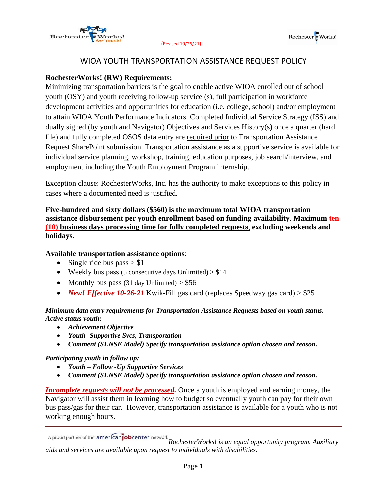

# WIOA YOUTH TRANSPORTATION ASSISTANCE REQUEST POLICY

## **RochesterWorks! (RW) Requirements:**

Minimizing transportation barriers is the goal to enable active WIOA enrolled out of school youth (OSY) and youth receiving follow-up service (s), full participation in workforce development activities and opportunities for education (i.e. college, school) and/or employment to attain WIOA Youth Performance Indicators. Completed Individual Service Strategy (ISS) and dually signed (by youth and Navigator) Objectives and Services History(s) once a quarter (hard file) and fully completed OSOS data entry are required prior to Transportation Assistance Request SharePoint submission. Transportation assistance as a supportive service is available for individual service planning, workshop, training, education purposes, job search/interview, and employment including the Youth Employment Program internship.

Exception clause: RochesterWorks, Inc. has the authority to make exceptions to this policy in cases where a documented need is justified.

## **Five-hundred and sixty dollars (\$560) is the maximum total WIOA transportation assistance disbursement per youth enrollment based on funding availability***.* **Maximum ten (10) business days processing time for fully completed requests**, **excluding weekends and holidays.**

## **Available transportation assistance options**:

- Single ride bus pass  $> $1$
- Weekly bus pass (5 consecutive days Unlimited)  $> $14$
- Monthly bus pass (31 day Unlimited)  $> $56$
- *New! Effective 10-26-21* Kwik-Fill gas card (replaces Speedway gas card) > \$25

### *Minimum data entry requirements for Transportation Assistance Requests based on youth status. Active status youth:*

- *Achievement Objective*
- *Youth -Supportive Svcs, Transportation*
- *Comment (SENSE Model) Specify transportation assistance option chosen and reason.*

### *Participating youth in follow up:*

- *Youth – Follow -Up Supportive Services*
- *Comment (SENSE Model) Specify transportation assistance option chosen and reason.*

*Incomplete requests will not be processed.* Once a youth is employed and earning money, the Navigator will assist them in learning how to budget so eventually youth can pay for their own bus pass/gas for their car. However, transportation assistance is available for a youth who is not working enough hours.

*RochesterWorks! is an equal opportunity program. Auxiliary aids and services are available upon request to individuals with disabilities.*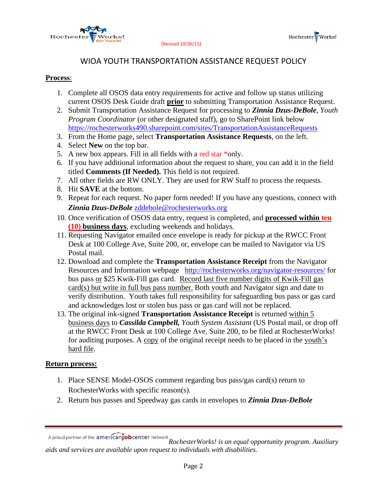



## WIOA YOUTH TRANSPORTATION ASSISTANCE REQUEST POLICY

#### **Process**:

- 1. Complete all OSOS data entry requirements for active and follow up status utilizing current OSOS Desk Guide draft **prior** to submitting Transportation Assistance Request.
- 2. Submit Transportation Assistance Request for processing to *Zinnia Dzus-DeBole*, *Youth Program Coordinator* (or other designated staff), go to SharePoint link below <https://rochesterworks490.sharepoint.com/sites/TransportationAssistanceRequests>
- 3. From the Home page, select **Transportation Assistance Requests**, on the left.
- 4. Select **New** on the top bar.
- 5. A new box appears. Fill in all fields with a red star  $*$ only.
- 6. If you have additional information about the request to share, you can add it in the field titled **Comments (If Needed).** This field is not required.
- 7. All other fields are RW ONLY. They are used for RW Staff to process the requests.
- 8. Hit **SAVE** at the bottom.
- 9. Repeat for each request. No paper form needed! If you have any questions, connect with *Zinnia Dzus-DeBole* [zddebole@rochesterworks.org](mailto:zddebole@rochesterworks.org)
- 10. Once verification of OSOS data entry, request is completed, and **processed within ten (10) business days**, excluding weekends and holidays.
- 11. Requesting Navigator emailed once envelope is ready for pickup at the RWCC Front Desk at 100 College Ave, Suite 200, or, envelope can be mailed to Navigator via US Postal mail.
- 12. Download and complete the **Transportation Assistance Receipt** from the Navigator Resources and Information webpage <http://rochesterworks.org/navigator-resources/> for bus pass or \$25 Kwik-Fill gas card. Record last five number digits of Kwik-Fill gas card(s) but write in full bus pass number. Both youth and Navigator sign and date to verify distribution. Youth takes full responsibility for safeguarding bus pass or gas card and acknowledges lost or stolen bus pass or gas card will not be replaced.
- 13. The original ink-signed **Transportation Assistance Receipt** is returned within 5 business days to *Cassilda Campbell, Youth System Assistant* (US Postal mail, or drop off at the RWCC Front Desk at 100 College Ave, Suite 200, to be filed at RochesterWorks! for auditing purposes. A copy of the original receipt needs to be placed in the youth's hard file.

### **Return process:**

- 1. Place SENSE Model-OSOS comment regarding bus pass/gas card(s) return to RochesterWorks with specific reason(s).
- 2. Return bus passes and Speedway gas cards in envelopes to *Zinnia Dzus-DeBole*

*A* proud partner of the **americanfob**center network<br> **RochesterWorks!** is an equal opportunity program. Auxiliary *aids and services are available upon request to individuals with disabilities.*